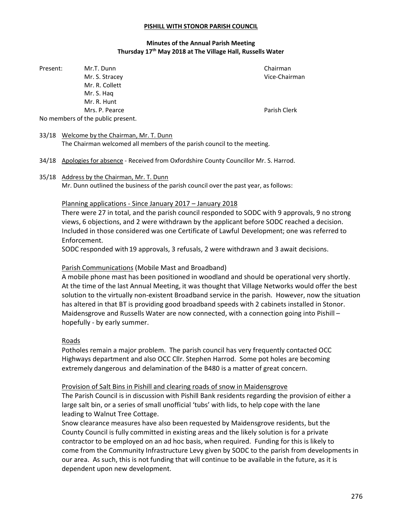#### PISHILL WITH STONOR PARISH COUNCIL

## Minutes of the Annual Parish Meeting Thursday 17<sup>th</sup> May 2018 at The Village Hall, Russells Water

Present: Mr.T. Dunn Chairman Chairman Mr. S. Stracey **Vice-Chairman**  Mr. R. Collett Mr. S. Haq Mr. R. Hunt Mrs. P. Pearce **Parish Clerk** Parish Clerk No members of the public present.

## 33/18 Welcome by the Chairman, Mr. T. Dunn

The Chairman welcomed all members of the parish council to the meeting.

- 34/18 Apologies for absence Received from Oxfordshire County Councillor Mr. S. Harrod.
- 35/18 Address by the Chairman, Mr. T. Dunn

Mr. Dunn outlined the business of the parish council over the past year, as follows:

## Planning applications - Since January 2017 – January 2018

 There were 27 in total, and the parish council responded to SODC with 9 approvals, 9 no strong views, 6 objections, and 2 were withdrawn by the applicant before SODC reached a decision. Included in those considered was one Certificate of Lawful Development; one was referred to Enforcement.

SODC responded with 19 approvals, 3 refusals, 2 were withdrawn and 3 await decisions.

## Parish Communications (Mobile Mast and Broadband)

 A mobile phone mast has been positioned in woodland and should be operational very shortly. At the time of the last Annual Meeting, it was thought that Village Networks would offer the best solution to the virtually non-existent Broadband service in the parish. However, now the situation has altered in that BT is providing good broadband speeds with 2 cabinets installed in Stonor. Maidensgrove and Russells Water are now connected, with a connection going into Pishill hopefully - by early summer.

## Roads

 Potholes remain a major problem. The parish council has very frequently contacted OCC Highways department and also OCC Cllr. Stephen Harrod. Some pot holes are becoming extremely dangerous and delamination of the B480 is a matter of great concern.

### Provision of Salt Bins in Pishill and clearing roads of snow in Maidensgrove

 The Parish Council is in discussion with Pishill Bank residents regarding the provision of either a large salt bin, or a series of small unofficial 'tubs' with lids, to help cope with the lane leading to Walnut Tree Cottage.

 Snow clearance measures have also been requested by Maidensgrove residents, but the County Council is fully committed in existing areas and the likely solution is for a private contractor to be employed on an ad hoc basis, when required. Funding for this is likely to come from the Community Infrastructure Levy given by SODC to the parish from developments in our area. As such, this is not funding that will continue to be available in the future, as it is dependent upon new development.